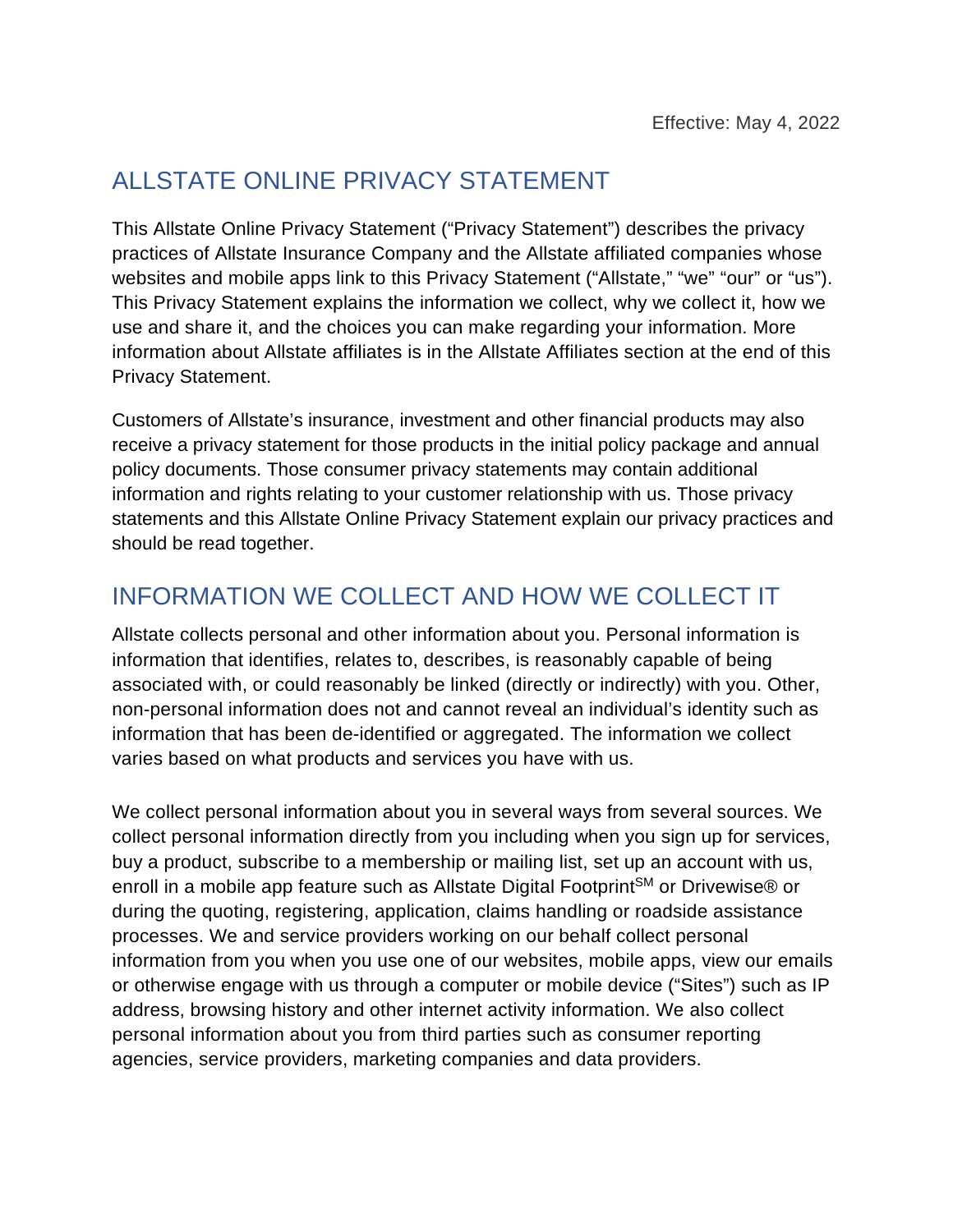## ALLSTATE ONLINE PRIVACY STATEMENT

This Allstate Online Privacy Statement ("Privacy Statement") describes the privacy practices of Allstate Insurance Company and the Allstate affiliated companies whose websites and mobile apps link to this Privacy Statement ("Allstate," "we" "our" or "us"). This Privacy Statement explains the information we collect, why we collect it, how we use and share it, and the choices you can make regarding your information. More information about Allstate affiliates is in the Allstate Affiliates section at the end of this Privacy Statement.

Customers of Allstate's insurance, investment and other financial products may also receive a privacy statement for those products in the initial policy package and annual policy documents. Those consumer privacy statements may contain additional information and rights relating to your customer relationship with us. Those privacy statements and this Allstate Online Privacy Statement explain our privacy practices and should be read together.

## INFORMATION WE COLLECT AND HOW WE COLLECT IT

Allstate collects personal and other information about you. Personal information is information that identifies, relates to, describes, is reasonably capable of being associated with, or could reasonably be linked (directly or indirectly) with you. Other, non-personal information does not and cannot reveal an individual's identity such as information that has been de-identified or aggregated. The information we collect varies based on what products and services you have with us.

We collect personal information about you in several ways from several sources. We collect personal information directly from you including when you sign up for services, buy a product, subscribe to a membership or mailing list, set up an account with us, enroll in a mobile app feature such as Allstate Digital Footprint<sup>SM</sup> or Drivewise® or during the quoting, registering, application, claims handling or roadside assistance processes. We and service providers working on our behalf collect personal information from you when you use one of our websites, mobile apps, view our emails or otherwise engage with us through a computer or mobile device ("Sites") such as IP address, browsing history and other internet activity information. We also collect personal information about you from third parties such as consumer reporting agencies, service providers, marketing companies and data providers.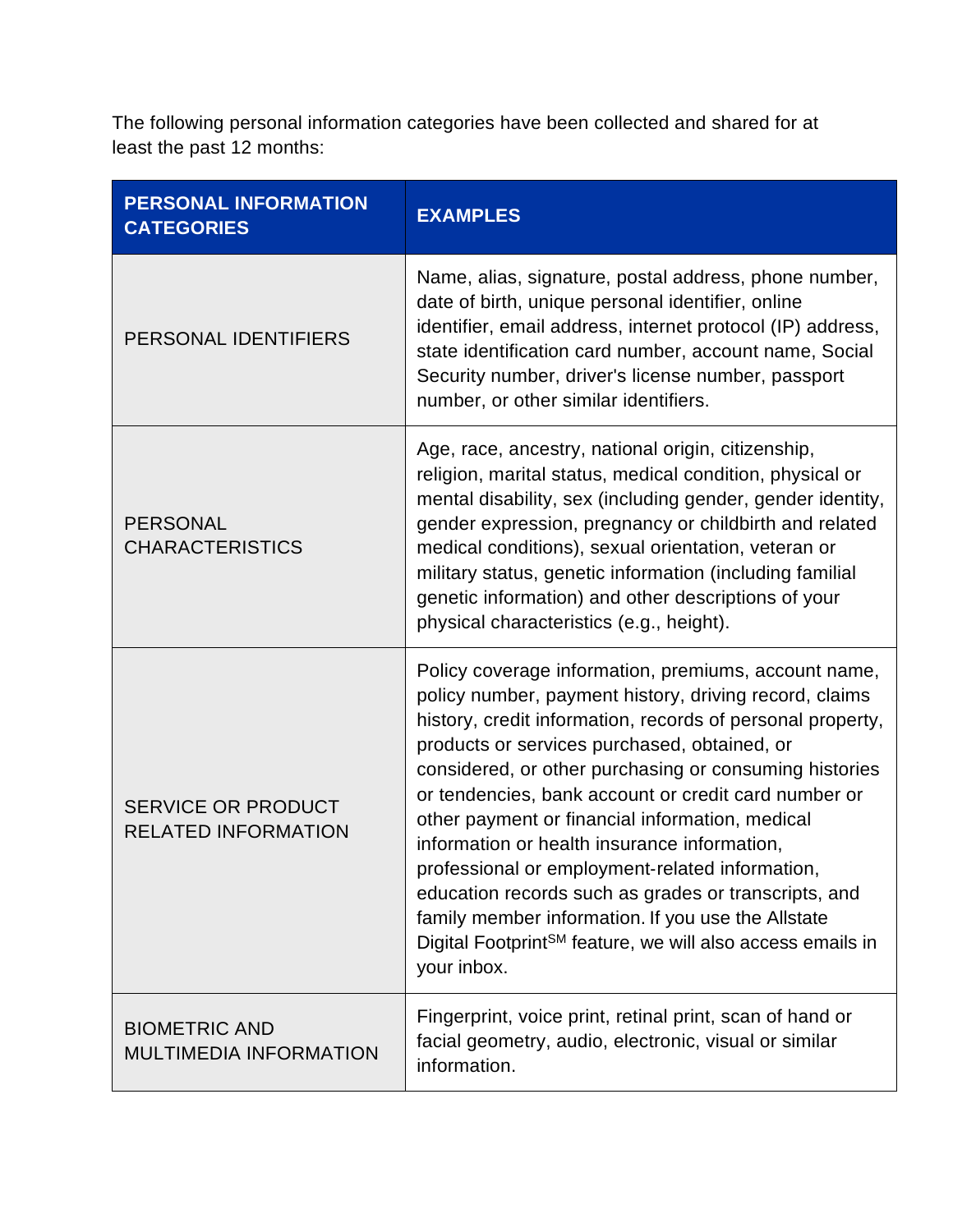The following personal information categories have been collected and shared for at least the past 12 months:

| <b>PERSONAL INFORMATION</b><br><b>CATEGORIES</b>        | <b>EXAMPLES</b>                                                                                                                                                                                                                                                                                                                                                                                                                                                                                                                                                                                                                                                                                             |
|---------------------------------------------------------|-------------------------------------------------------------------------------------------------------------------------------------------------------------------------------------------------------------------------------------------------------------------------------------------------------------------------------------------------------------------------------------------------------------------------------------------------------------------------------------------------------------------------------------------------------------------------------------------------------------------------------------------------------------------------------------------------------------|
| PERSONAL IDENTIFIERS                                    | Name, alias, signature, postal address, phone number,<br>date of birth, unique personal identifier, online<br>identifier, email address, internet protocol (IP) address,<br>state identification card number, account name, Social<br>Security number, driver's license number, passport<br>number, or other similar identifiers.                                                                                                                                                                                                                                                                                                                                                                           |
| <b>PERSONAL</b><br><b>CHARACTERISTICS</b>               | Age, race, ancestry, national origin, citizenship,<br>religion, marital status, medical condition, physical or<br>mental disability, sex (including gender, gender identity,<br>gender expression, pregnancy or childbirth and related<br>medical conditions), sexual orientation, veteran or<br>military status, genetic information (including familial<br>genetic information) and other descriptions of your<br>physical characteristics (e.g., height).                                                                                                                                                                                                                                                |
| <b>SERVICE OR PRODUCT</b><br><b>RELATED INFORMATION</b> | Policy coverage information, premiums, account name,<br>policy number, payment history, driving record, claims<br>history, credit information, records of personal property,<br>products or services purchased, obtained, or<br>considered, or other purchasing or consuming histories<br>or tendencies, bank account or credit card number or<br>other payment or financial information, medical<br>information or health insurance information,<br>professional or employment-related information,<br>education records such as grades or transcripts, and<br>family member information. If you use the Allstate<br>Digital Footprint <sup>SM</sup> feature, we will also access emails in<br>your inbox. |
| <b>BIOMETRIC AND</b><br><b>MULTIMEDIA INFORMATION</b>   | Fingerprint, voice print, retinal print, scan of hand or<br>facial geometry, audio, electronic, visual or similar<br>information.                                                                                                                                                                                                                                                                                                                                                                                                                                                                                                                                                                           |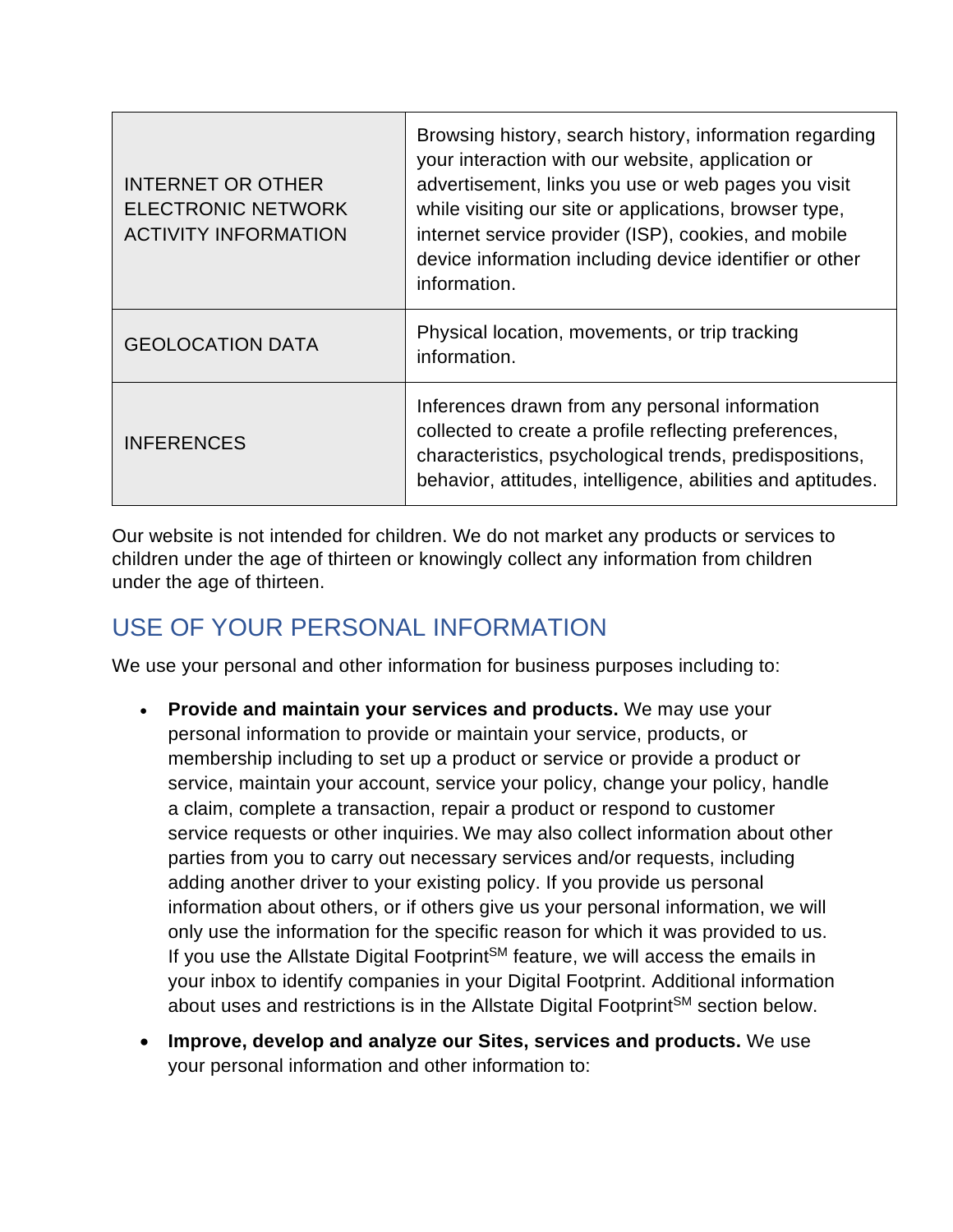| <b>INTERNET OR OTHER</b><br><b>ELECTRONIC NETWORK</b><br><b>ACTIVITY INFORMATION</b> | Browsing history, search history, information regarding<br>your interaction with our website, application or<br>advertisement, links you use or web pages you visit<br>while visiting our site or applications, browser type,<br>internet service provider (ISP), cookies, and mobile<br>device information including device identifier or other<br>information. |
|--------------------------------------------------------------------------------------|------------------------------------------------------------------------------------------------------------------------------------------------------------------------------------------------------------------------------------------------------------------------------------------------------------------------------------------------------------------|
| <b>GEOLOCATION DATA</b>                                                              | Physical location, movements, or trip tracking<br>information.                                                                                                                                                                                                                                                                                                   |
| <b>INFERENCES</b>                                                                    | Inferences drawn from any personal information<br>collected to create a profile reflecting preferences,<br>characteristics, psychological trends, predispositions,<br>behavior, attitudes, intelligence, abilities and aptitudes.                                                                                                                                |

Our website is not intended for children. We do not market any products or services to children under the age of thirteen or knowingly collect any information from children under the age of thirteen.

# USE OF YOUR PERSONAL INFORMATION

We use your personal and other information for business purposes including to:

- **Provide and maintain your services and products.** We may use your personal information to provide or maintain your service, products, or membership including to set up a product or service or provide a product or service, maintain your account, service your policy, change your policy, handle a claim, complete a transaction, repair a product or respond to customer service requests or other inquiries. We may also collect information about other parties from you to carry out necessary services and/or requests, including adding another driver to your existing policy. If you provide us personal information about others, or if others give us your personal information, we will only use the information for the specific reason for which it was provided to us. If you use the Allstate Digital Footprint<sup>SM</sup> feature, we will access the emails in your inbox to identify companies in your Digital Footprint. Additional information about uses and restrictions is in the Allstate Digital Footprint<sup>SM</sup> section below.
- **Improve, develop and analyze our Sites, services and products.** We use your personal information and other information to: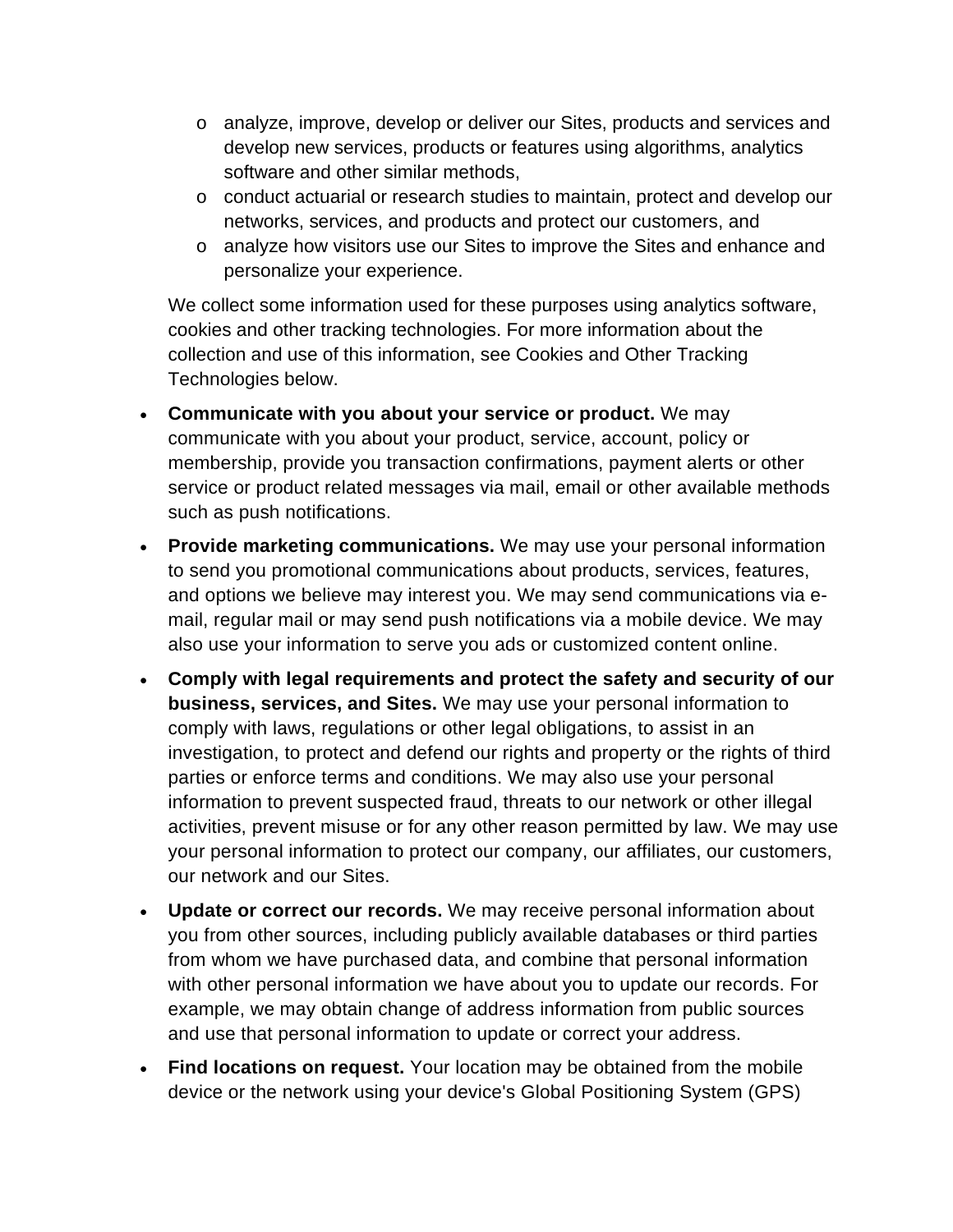- o analyze, improve, develop or deliver our Sites, products and services and develop new services, products or features using algorithms, analytics software and other similar methods,
- o conduct actuarial or research studies to maintain, protect and develop our networks, services, and products and protect our customers, and
- o analyze how visitors use our Sites to improve the Sites and enhance and personalize your experience.

We collect some information used for these purposes using analytics software, cookies and other tracking technologies. For more information about the collection and use of this information, see Cookies and Other Tracking Technologies below.

- **Communicate with you about your service or product.** We may communicate with you about your product, service, account, policy or membership, provide you transaction confirmations, payment alerts or other service or product related messages via mail, email or other available methods such as push notifications.
- **Provide marketing communications.** We may use your personal information to send you promotional communications about products, services, features, and options we believe may interest you. We may send communications via email, regular mail or may send push notifications via a mobile device. We may also use your information to serve you ads or customized content online.
- **Comply with legal requirements and protect the safety and security of our business, services, and Sites.** We may use your personal information to comply with laws, regulations or other legal obligations, to assist in an investigation, to protect and defend our rights and property or the rights of third parties or enforce terms and conditions. We may also use your personal information to prevent suspected fraud, threats to our network or other illegal activities, prevent misuse or for any other reason permitted by law. We may use your personal information to protect our company, our affiliates, our customers, our network and our Sites.
- **Update or correct our records.** We may receive personal information about you from other sources, including publicly available databases or third parties from whom we have purchased data, and combine that personal information with other personal information we have about you to update our records. For example, we may obtain change of address information from public sources and use that personal information to update or correct your address.
- **Find locations on request.** Your location may be obtained from the mobile device or the network using your device's Global Positioning System (GPS)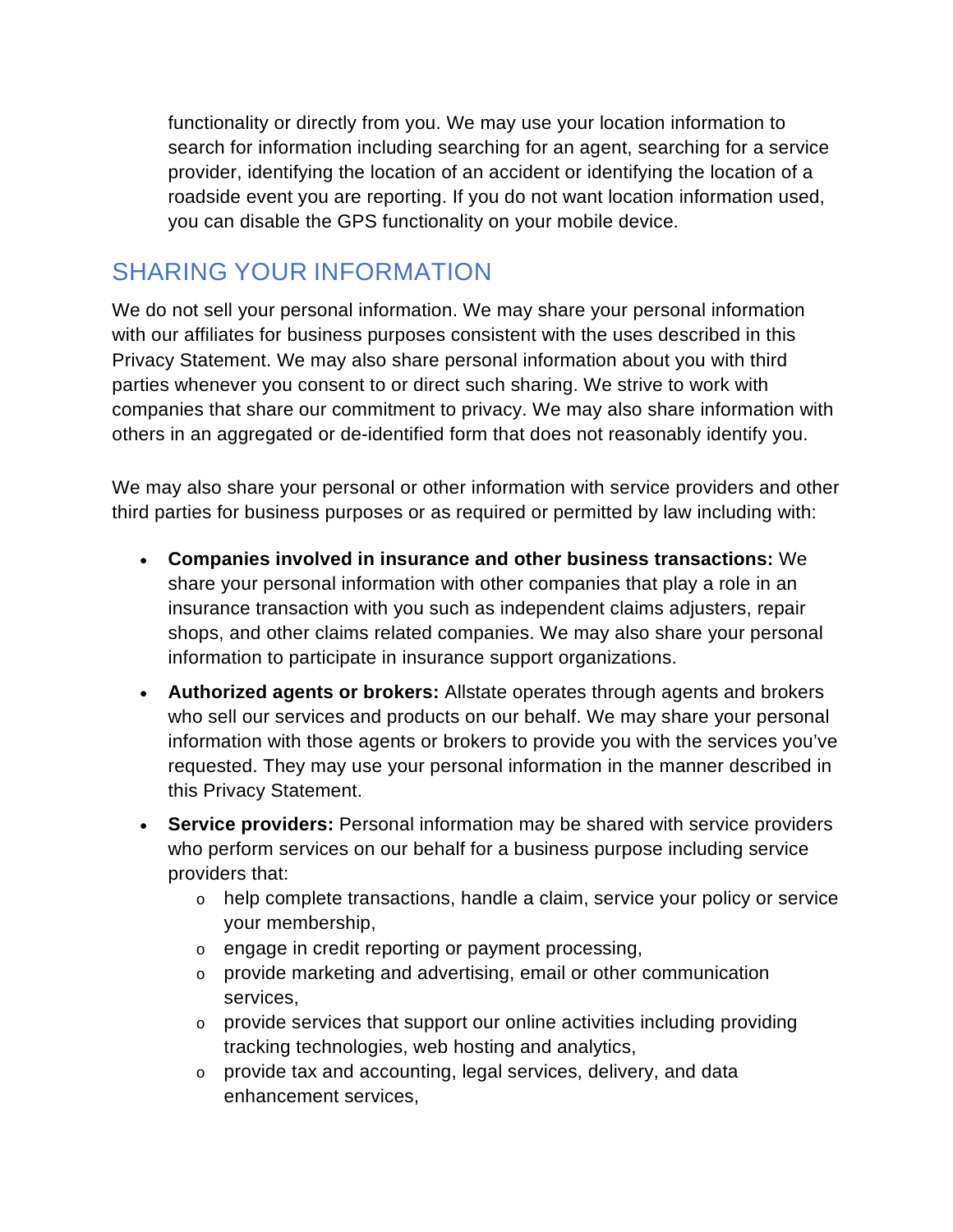functionality or directly from you. We may use your location information to search for information including searching for an agent, searching for a service provider, identifying the location of an accident or identifying the location of a roadside event you are reporting. If you do not want location information used, you can disable the GPS functionality on your mobile device.

## SHARING YOUR INFORMATION

We do not sell your personal information. We may share your personal information with our affiliates for business purposes consistent with the uses described in this Privacy Statement. We may also share personal information about you with third parties whenever you consent to or direct such sharing. We strive to work with companies that share our commitment to privacy. We may also share information with others in an aggregated or de-identified form that does not reasonably identify you.

We may also share your personal or other information with service providers and other third parties for business purposes or as required or permitted by law including with:

- **Companies involved in insurance and other business transactions:** We share your personal information with other companies that play a role in an insurance transaction with you such as independent claims adjusters, repair shops, and other claims related companies. We may also share your personal information to participate in insurance support organizations.
- **Authorized agents or brokers:** Allstate operates through agents and brokers who sell our services and products on our behalf. We may share your personal information with those agents or brokers to provide you with the services you've requested. They may use your personal information in the manner described in this Privacy Statement.
- **Service providers:** Personal information may be shared with service providers who perform services on our behalf for a business purpose including service providers that:
	- $\circ$  help complete transactions, handle a claim, service your policy or service your membership,
	- o engage in credit reporting or payment processing,
	- o provide marketing and advertising, email or other communication services,
	- $\circ$  provide services that support our online activities including providing tracking technologies, web hosting and analytics,
	- o provide tax and accounting, legal services, delivery, and data enhancement services,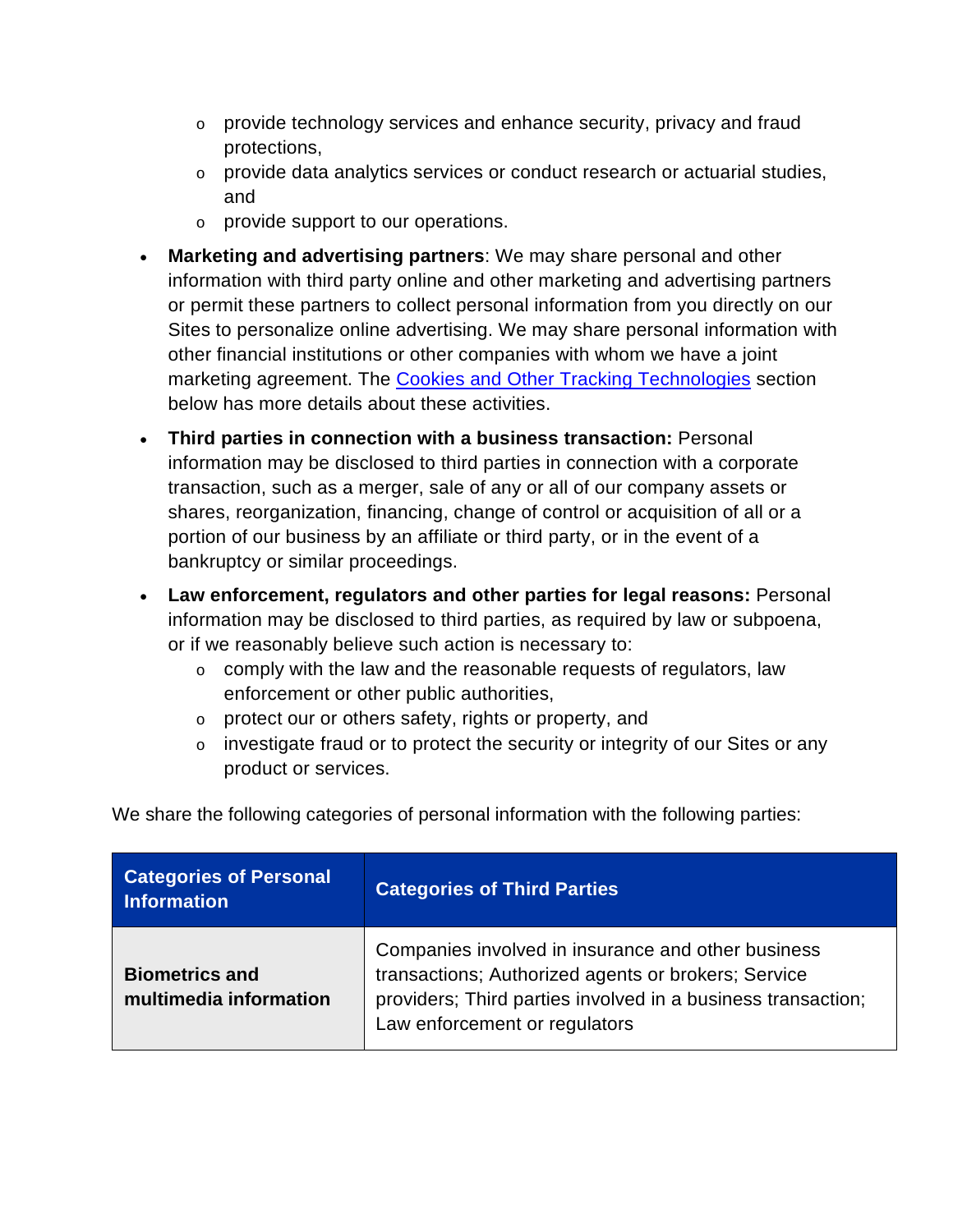- $\circ$  provide technology services and enhance security, privacy and fraud protections,
- o provide data analytics services or conduct research or actuarial studies, and
- o provide support to our operations.
- **Marketing and advertising partners**: We may share personal and other information with third party online and other marketing and advertising partners or permit these partners to collect personal information from you directly on our Sites to personalize online advertising. We may share personal information with other financial institutions or other companies with whom we have a joint marketing agreement. The [Cookies and Other Tracking Technologies](#page-6-0) section below has more details about these activities.
- **Third parties in connection with a business transaction:** Personal information may be disclosed to third parties in connection with a corporate transaction, such as a merger, sale of any or all of our company assets or shares, reorganization, financing, change of control or acquisition of all or a portion of our business by an affiliate or third party, or in the event of a bankruptcy or similar proceedings.
- **Law enforcement, regulators and other parties for legal reasons:** Personal information may be disclosed to third parties, as required by law or subpoena, or if we reasonably believe such action is necessary to:
	- o comply with the law and the reasonable requests of regulators, law enforcement or other public authorities,
	- o protect our or others safety, rights or property, and
	- o investigate fraud or to protect the security or integrity of our Sites or any product or services.

| <b>Categories of Personal</b><br><b>Information</b> | <b>Categories of Third Parties</b>                                                                                                                                                                         |
|-----------------------------------------------------|------------------------------------------------------------------------------------------------------------------------------------------------------------------------------------------------------------|
| <b>Biometrics and</b><br>multimedia information     | Companies involved in insurance and other business<br>transactions; Authorized agents or brokers; Service<br>providers; Third parties involved in a business transaction;<br>Law enforcement or regulators |

We share the following categories of personal information with the following parties: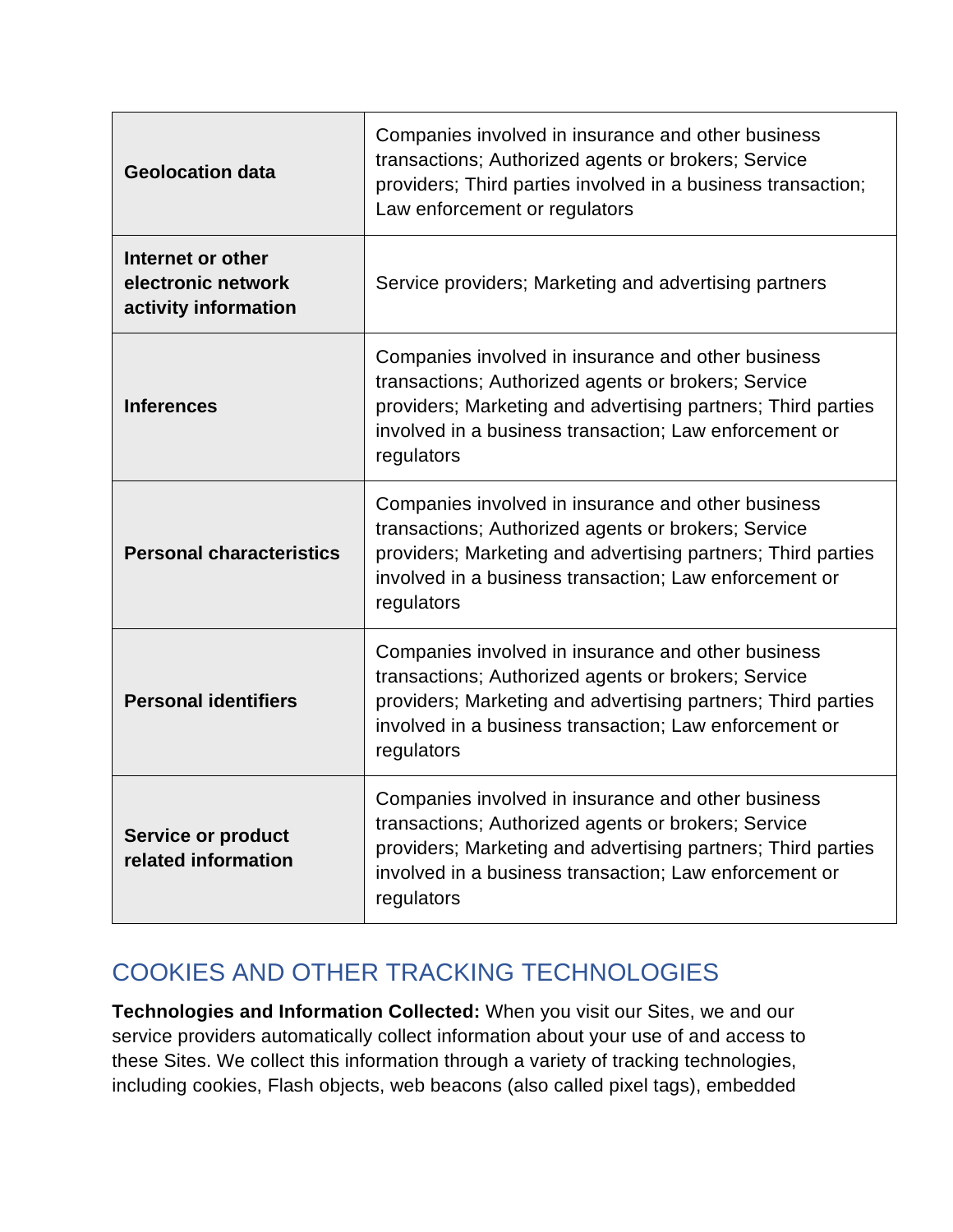| <b>Geolocation data</b>                                         | Companies involved in insurance and other business<br>transactions; Authorized agents or brokers; Service<br>providers; Third parties involved in a business transaction;<br>Law enforcement or regulators                                        |  |
|-----------------------------------------------------------------|---------------------------------------------------------------------------------------------------------------------------------------------------------------------------------------------------------------------------------------------------|--|
| Internet or other<br>electronic network<br>activity information | Service providers; Marketing and advertising partners                                                                                                                                                                                             |  |
| <b>Inferences</b>                                               | Companies involved in insurance and other business<br>transactions; Authorized agents or brokers; Service<br>providers; Marketing and advertising partners; Third parties<br>involved in a business transaction; Law enforcement or<br>regulators |  |
| <b>Personal characteristics</b>                                 | Companies involved in insurance and other business<br>transactions; Authorized agents or brokers; Service<br>providers; Marketing and advertising partners; Third parties<br>involved in a business transaction; Law enforcement or<br>regulators |  |
| <b>Personal identifiers</b>                                     | Companies involved in insurance and other business<br>transactions; Authorized agents or brokers; Service<br>providers; Marketing and advertising partners; Third parties<br>involved in a business transaction; Law enforcement or<br>regulators |  |
| <b>Service or product</b><br>related information                | Companies involved in insurance and other business<br>transactions; Authorized agents or brokers; Service<br>providers; Marketing and advertising partners; Third parties<br>involved in a business transaction; Law enforcement or<br>regulators |  |

### <span id="page-6-0"></span>COOKIES AND OTHER TRACKING TECHNOLOGIES

**Technologies and Information Collected:** When you visit our Sites, we and our service providers automatically collect information about your use of and access to these Sites. We collect this information through a variety of tracking technologies, including cookies, Flash objects, web beacons (also called pixel tags), embedded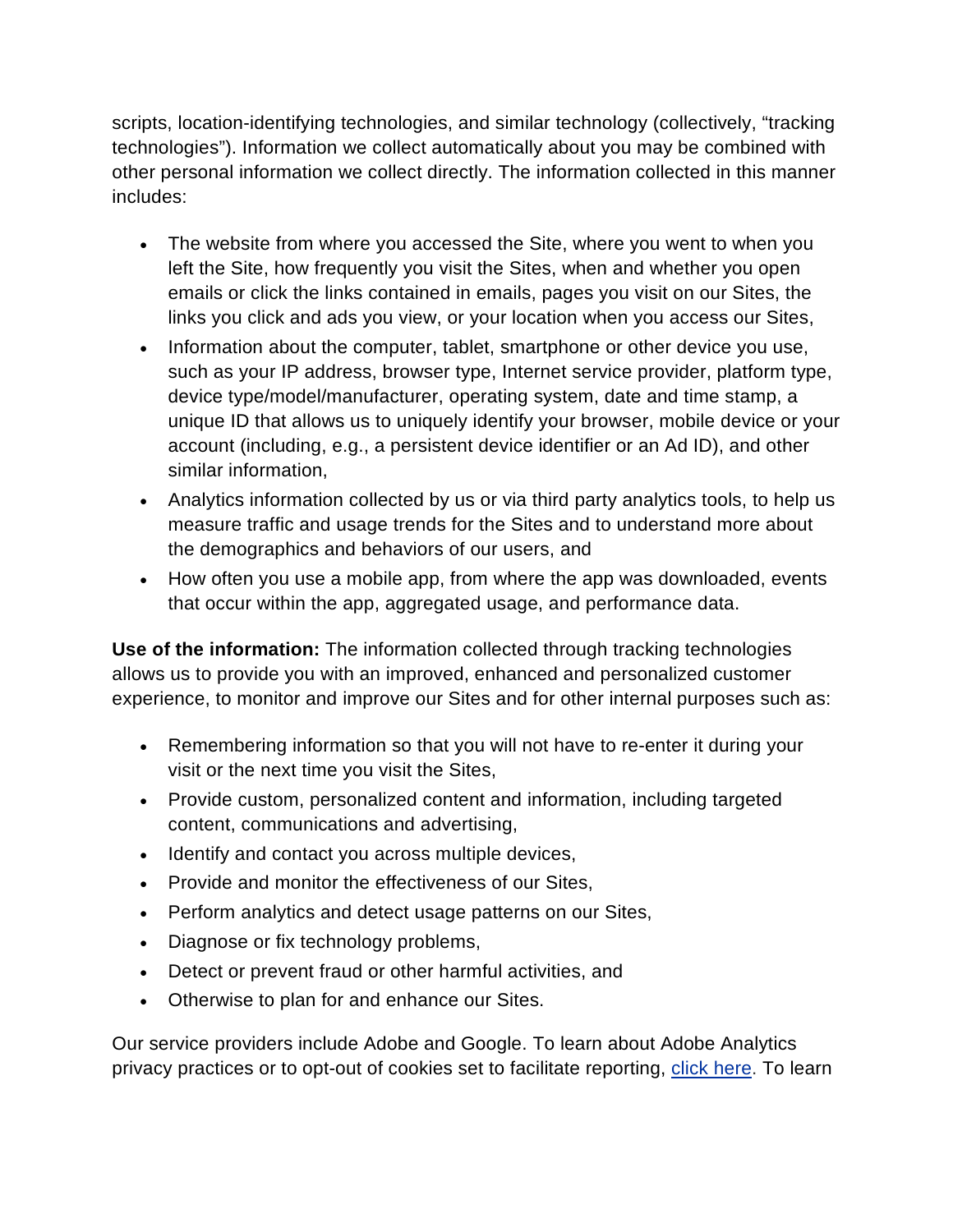scripts, location-identifying technologies, and similar technology (collectively, "tracking technologies"). Information we collect automatically about you may be combined with other personal information we collect directly. The information collected in this manner includes:

- The website from where you accessed the Site, where you went to when you left the Site, how frequently you visit the Sites, when and whether you open emails or click the links contained in emails, pages you visit on our Sites, the links you click and ads you view, or your location when you access our Sites,
- Information about the computer, tablet, smartphone or other device you use, such as your IP address, browser type, Internet service provider, platform type, device type/model/manufacturer, operating system, date and time stamp, a unique ID that allows us to uniquely identify your browser, mobile device or your account (including, e.g., a persistent device identifier or an Ad ID), and other similar information,
- Analytics information collected by us or via third party analytics tools, to help us measure traffic and usage trends for the Sites and to understand more about the demographics and behaviors of our users, and
- How often you use a mobile app, from where the app was downloaded, events that occur within the app, aggregated usage, and performance data.

**Use of the information:** The information collected through tracking technologies allows us to provide you with an improved, enhanced and personalized customer experience, to monitor and improve our Sites and for other internal purposes such as:

- Remembering information so that you will not have to re-enter it during your visit or the next time you visit the Sites,
- Provide custom, personalized content and information, including targeted content, communications and advertising,
- Identify and contact you across multiple devices,
- Provide and monitor the effectiveness of our Sites,
- Perform analytics and detect usage patterns on our Sites,
- Diagnose or fix technology problems,
- Detect or prevent fraud or other harmful activities, and
- Otherwise to plan for and enhance our Sites.

Our service providers include Adobe and Google. To learn about Adobe Analytics privacy practices or to opt-out of cookies set to facilitate reporting, [click here](http://www.adobe.com/privacy.html). To learn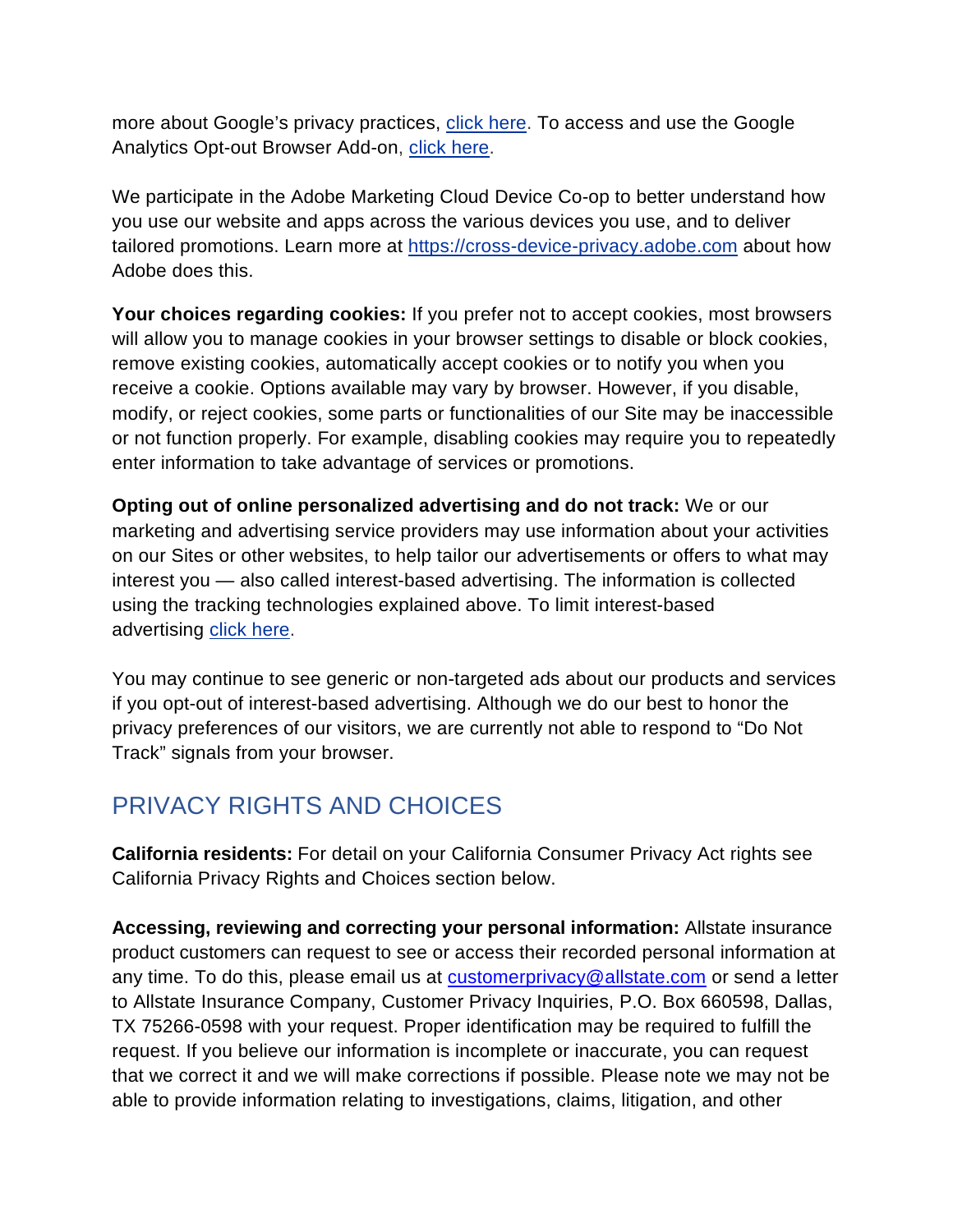more about Google's privacy practices, [click here](https://www.google.com/policies/privacy/). To access and use the Google Analytics Opt-out Browser Add-on, [click here](https://tools.google.com/dlpage/gaoptout).

We participate in the Adobe Marketing Cloud Device Co-op to better understand how you use our website and apps across the various devices you use, and to deliver tailored promotions. Learn more at [https://cross-device-privacy.adobe.com](https://cross-device-privacy.adobe.com/) about how Adobe does this.

**Your choices regarding cookies:** If you prefer not to accept cookies, most browsers will allow you to manage cookies in your browser settings to disable or block cookies, remove existing cookies, automatically accept cookies or to notify you when you receive a cookie. Options available may vary by browser. However, if you disable, modify, or reject cookies, some parts or functionalities of our Site may be inaccessible or not function properly. For example, disabling cookies may require you to repeatedly enter information to take advantage of services or promotions.

**Opting out of online personalized advertising and do not track:** We or our marketing and advertising service providers may use information about your activities on our Sites or other websites, to help tailor our advertisements or offers to what may interest you — also called interest-based advertising. The information is collected using the tracking technologies explained above. To limit interest-based advertising [click here](http://info.evidon.com/pub_info/3340?v=1).

You may continue to see generic or non-targeted ads about our products and services if you opt-out of interest-based advertising. Although we do our best to honor the privacy preferences of our visitors, we are currently not able to respond to "Do Not Track" signals from your browser.

# PRIVACY RIGHTS AND CHOICES

**California residents:** For detail on your California Consumer Privacy Act rights see California Privacy Rights and Choices section below.

**Accessing, reviewing and correcting your personal information:** Allstate insurance product customers can request to see or access their recorded personal information at any time. To do this, please email us at [customerprivacy@allstate.com](mailto:customerprivacy@allstate.com) or send a letter to Allstate Insurance Company, Customer Privacy Inquiries, P.O. Box 660598, Dallas, TX 75266-0598 with your request. Proper identification may be required to fulfill the request. If you believe our information is incomplete or inaccurate, you can request that we correct it and we will make corrections if possible. Please note we may not be able to provide information relating to investigations, claims, litigation, and other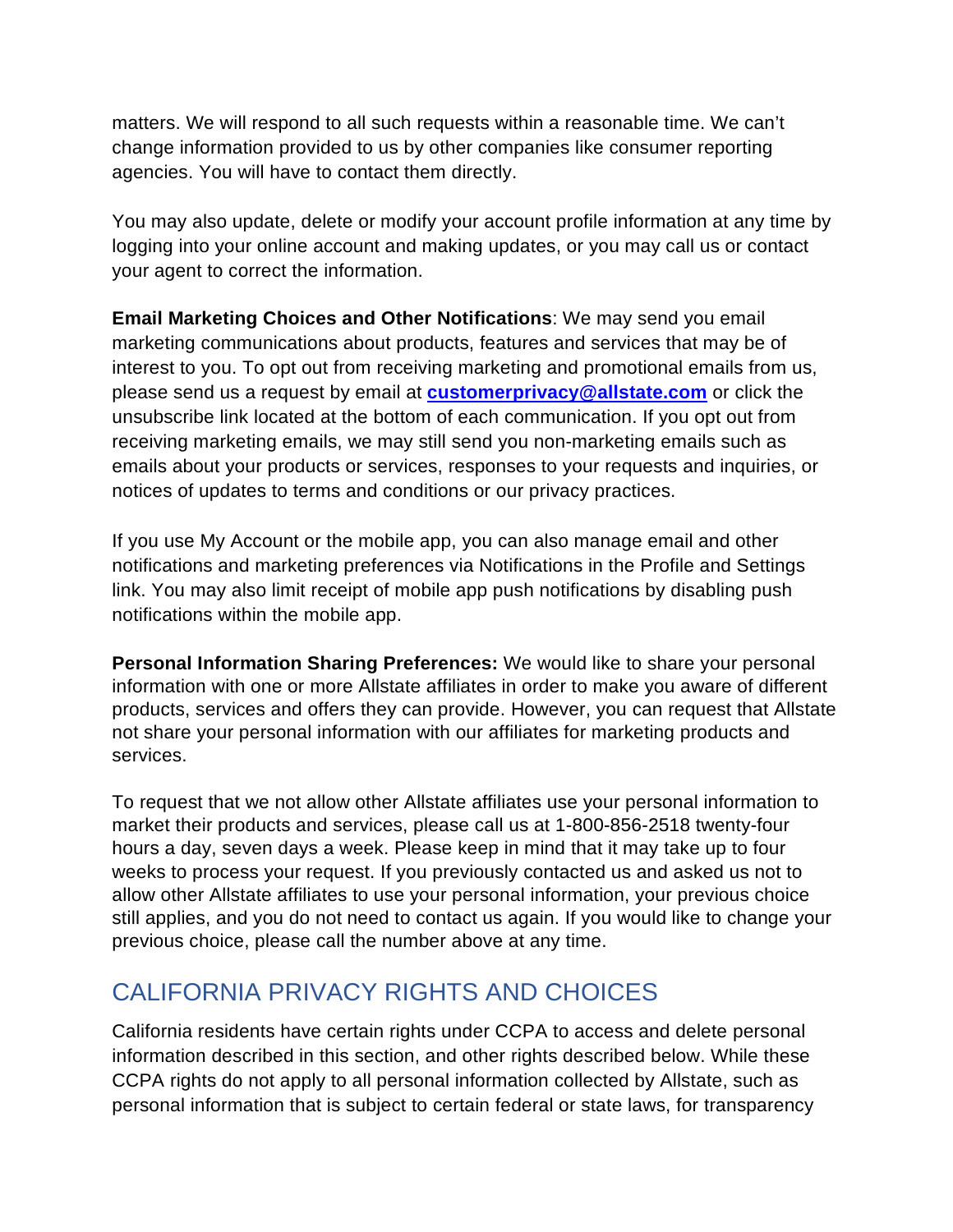matters. We will respond to all such requests within a reasonable time. We can't change information provided to us by other companies like consumer reporting agencies. You will have to contact them directly.

You may also update, delete or modify your account profile information at any time by logging into your online account and making updates, or you may call us or contact your agent to correct the information.

**Email Marketing Choices and Other Notifications**: We may send you email marketing communications about products, features and services that may be of interest to you. To opt out from receiving marketing and promotional emails from us, please send us a request by email at **[customerprivacy@allstate.com](mailto:customerprivacy@allstate.com)** or click the unsubscribe link located at the bottom of each communication. If you opt out from receiving marketing emails, we may still send you non-marketing emails such as emails about your products or services, responses to your requests and inquiries, or notices of updates to terms and conditions or our privacy practices.

If you use My Account or the mobile app, you can also manage email and other notifications and marketing preferences via Notifications in the Profile and Settings link. You may also limit receipt of mobile app push notifications by disabling push notifications within the mobile app.

**Personal Information Sharing Preferences:** We would like to share your personal information with one or more Allstate affiliates in order to make you aware of different products, services and offers they can provide. However, you can request that Allstate not share your personal information with our affiliates for marketing products and services.

To request that we not allow other Allstate affiliates use your personal information to market their products and services, please callusat [1-800-856-2518](tel:8008562518) twenty-four hours a day, seven days a week. Please keep in mind that it may take up to four weeks to process your request. If you previously contacted us and asked us not to allow other Allstate affiliates to use your personal information, your previous choice still applies, and you do not need to contact us again. If you would like to change your previous choice, please call the number above at any time.

### CALIFORNIA PRIVACY RIGHTS AND CHOICES

California residents have certain rights under CCPA to access and delete personal information described in this section, and other rights described below. While these CCPA rights do not apply to all personal information collected by Allstate, such as personal information that is subject to certain federal or state laws, for transparency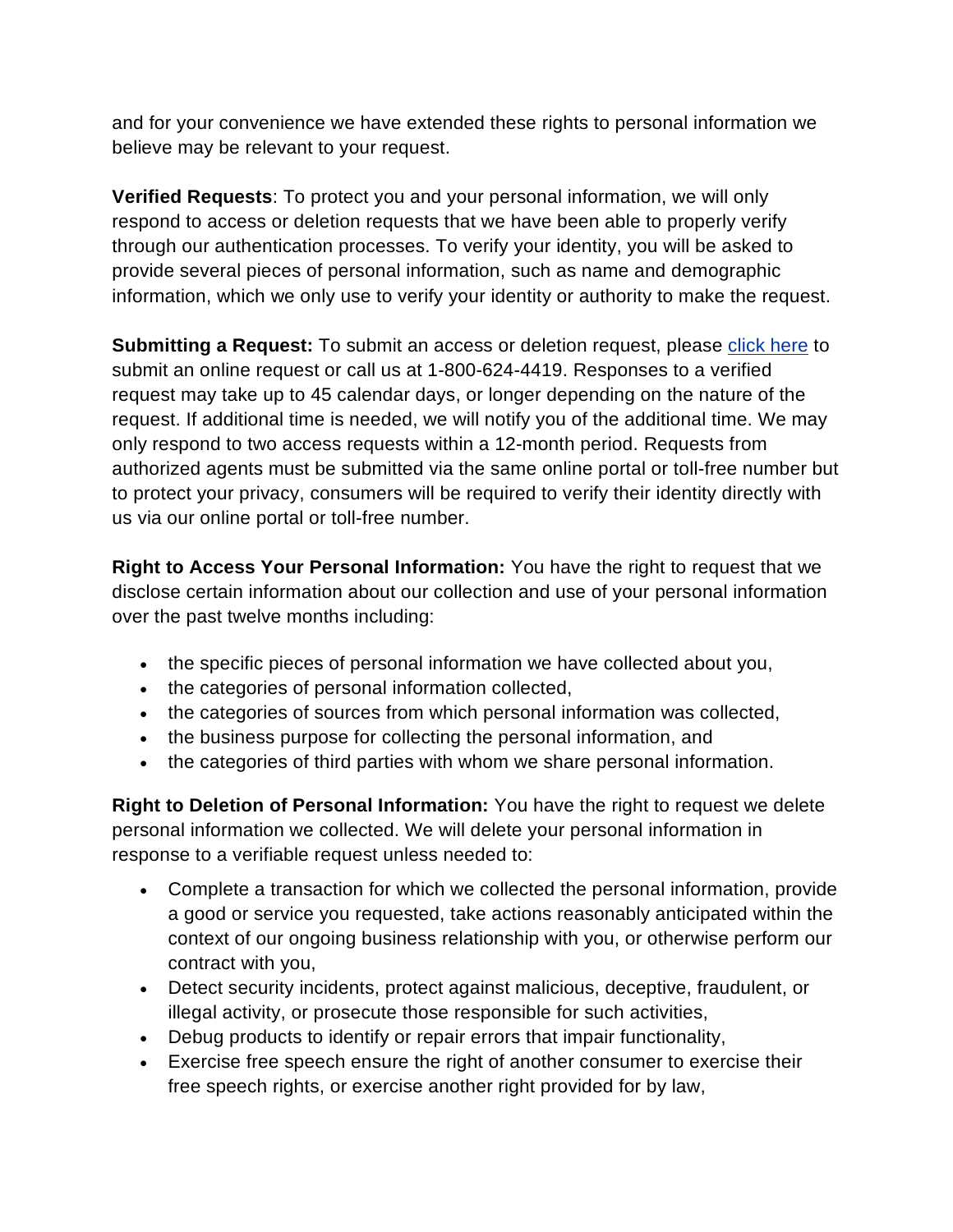and for your convenience we have extended these rights to personal information we believe may be relevant to your request.

**Verified Requests**: To protect you and your personal information, we will only respond to access or deletion requests that we have been able to properly verify through our authentication processes. To verify your identity, you will be asked to provide several pieces of personal information, such as name and demographic information, which we only use to verify your identity or authority to make the request.

**Submitting a Request:** To submit an access or deletion request, please [click here](http://allstate.consumerprivacyinfo.com/) to submit an online request or call us at 1-800-624-4419. Responses to a verified request may take up to 45 calendar days, or longer depending on the nature of the request. If additional time is needed, we will notify you of the additional time. We may only respond to two access requests within a 12-month period. Requests from authorized agents must be submitted via the same online portal or toll-free number but to protect your privacy, consumers will be required to verify their identity directly with us via our online portal or toll-free number.

**Right to Access Your Personal Information:** You have the right to request that we disclose certain information about our collection and use of your personal information over the past twelve months including:

- the specific pieces of personal information we have collected about you,
- the categories of personal information collected,
- the categories of sources from which personal information was collected,
- the business purpose for collecting the personal information, and
- the categories of third parties with whom we share personal information.

**Right to Deletion of Personal Information:** You have the right to request we delete personal information we collected. We will delete your personal information in response to a verifiable request unless needed to:

- Complete a transaction for which we collected the personal information, provide a good or service you requested, take actions reasonably anticipated within the context of our ongoing business relationship with you, or otherwise perform our contract with you,
- Detect security incidents, protect against malicious, deceptive, fraudulent, or illegal activity, or prosecute those responsible for such activities,
- Debug products to identify or repair errors that impair functionality,
- Exercise free speech ensure the right of another consumer to exercise their free speech rights, or exercise another right provided for by law,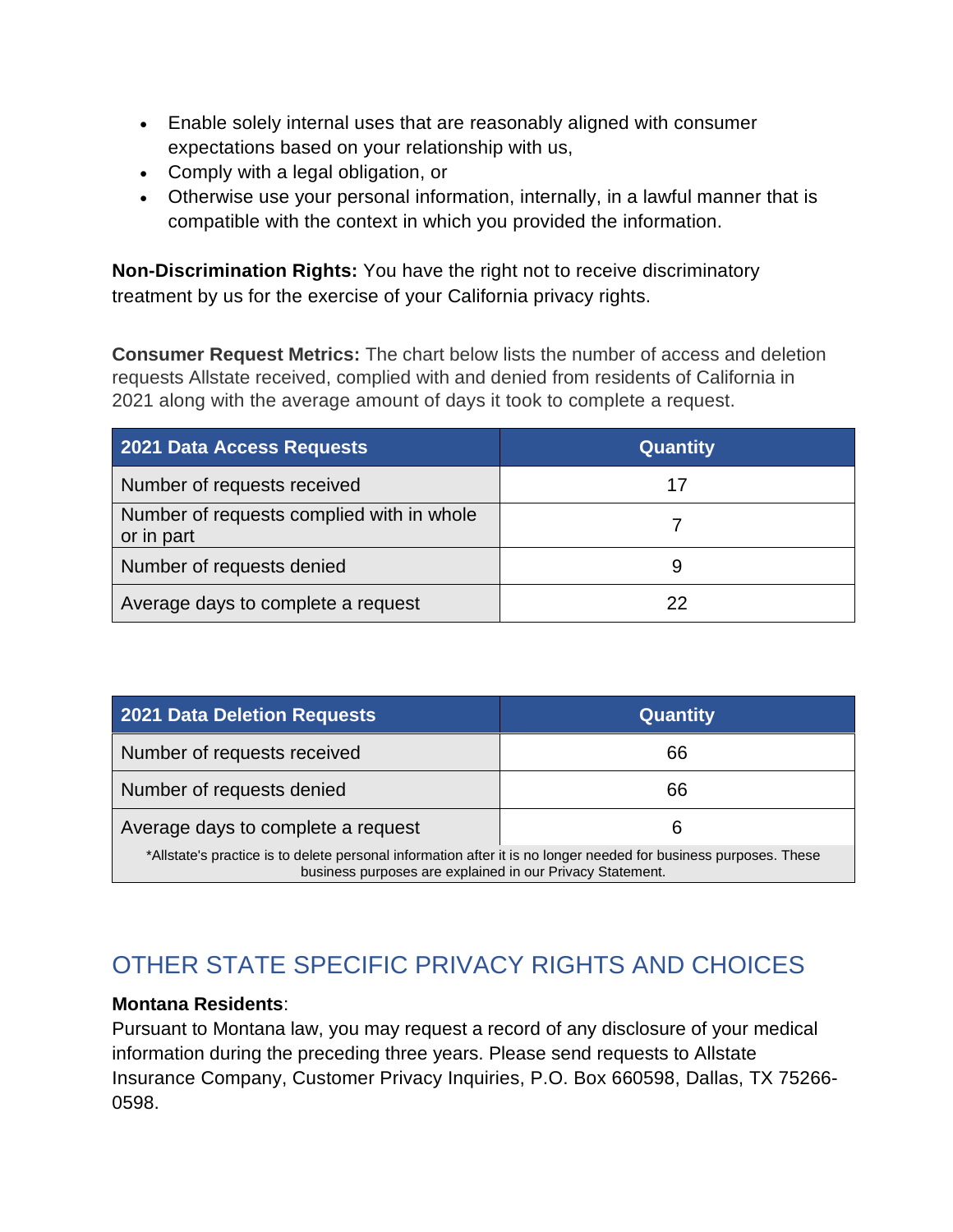- Enable solely internal uses that are reasonably aligned with consumer expectations based on your relationship with us,
- Comply with a legal obligation, or
- Otherwise use your personal information, internally, in a lawful manner that is compatible with the context in which you provided the information.

**Non-Discrimination Rights:** You have the right not to receive discriminatory treatment by us for the exercise of your California privacy rights.

**Consumer Request Metrics:** The chart below lists the number of access and deletion requests Allstate received, complied with and denied from residents of California in 2021 along with the average amount of days it took to complete a request.

| 2021 Data Access Requests                               | <b>Quantity</b> |
|---------------------------------------------------------|-----------------|
| Number of requests received                             | 17              |
| Number of requests complied with in whole<br>or in part |                 |
| Number of requests denied                               | 9               |
| Average days to complete a request                      |                 |

| 2021 Data Deletion Requests                                                                                                                                                   | <b>Quantity</b> |  |
|-------------------------------------------------------------------------------------------------------------------------------------------------------------------------------|-----------------|--|
| Number of requests received                                                                                                                                                   | 66              |  |
| Number of requests denied                                                                                                                                                     | 66              |  |
| Average days to complete a request                                                                                                                                            | 6               |  |
| *Allstate's practice is to delete personal information after it is no longer needed for business purposes. These<br>business purposes are explained in our Privacy Statement. |                 |  |

# OTHER STATE SPECIFIC PRIVACY RIGHTS AND CHOICES

#### **Montana Residents**:

Pursuant to Montana law, you may request a record of any disclosure of your medical information during the preceding three years. Please send requests to Allstate Insurance Company, Customer Privacy Inquiries, P.O. Box 660598, Dallas, TX 75266- 0598.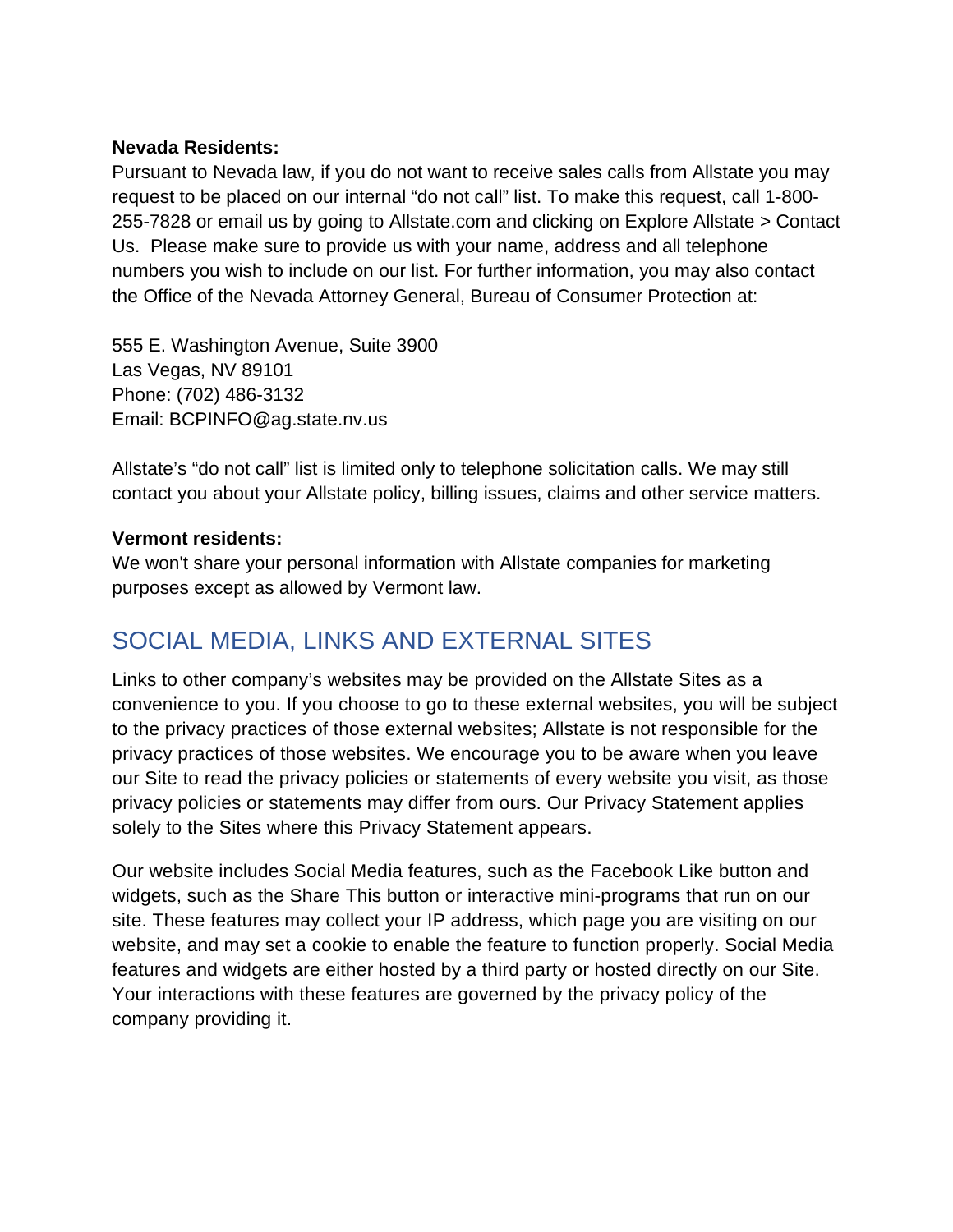#### **Nevada Residents:**

Pursuant to Nevada law, if you do not want to receive sales calls from Allstate you may request to be placed on our internal "do not call" list. To make this request, call 1-800- 255-7828 or email us by going to Allstate.com and clicking on Explore Allstate > Contact Us. Please make sure to provide us with your name, address and all telephone numbers you wish to include on our list. For further information, you may also contact the Office of the Nevada Attorney General, Bureau of Consumer Protection at:

555 E. Washington Avenue, Suite 3900 Las Vegas, NV 89101 Phone: (702) 486-3132 Email: BCPINFO@ag.state.nv.us

Allstate's "do not call" list is limited only to telephone solicitation calls. We may still contact you about your Allstate policy, billing issues, claims and other service matters.

#### **Vermont residents:**

We won't share your personal information with Allstate companies for marketing purposes except as allowed by Vermont law.

### SOCIAL MEDIA, LINKS AND EXTERNAL SITES

Links to other company's websites may be provided on the Allstate Sites as a convenience to you. If you choose to go to these external websites, you will be subject to the privacy practices of those external websites; Allstate is not responsible for the privacy practices of those websites. We encourage you to be aware when you leave our Site to read the privacy policies or statements of every website you visit, as those privacy policies or statements may differ from ours. Our Privacy Statement applies solely to the Sites where this Privacy Statement appears.

Our website includes Social Media features, such as the Facebook Like button and widgets, such as the Share This button or interactive mini-programs that run on our site. These features may collect your IP address, which page you are visiting on our website, and may set a cookie to enable the feature to function properly. Social Media features and widgets are either hosted by a third party or hosted directly on our Site. Your interactions with these features are governed by the privacy policy of the company providing it.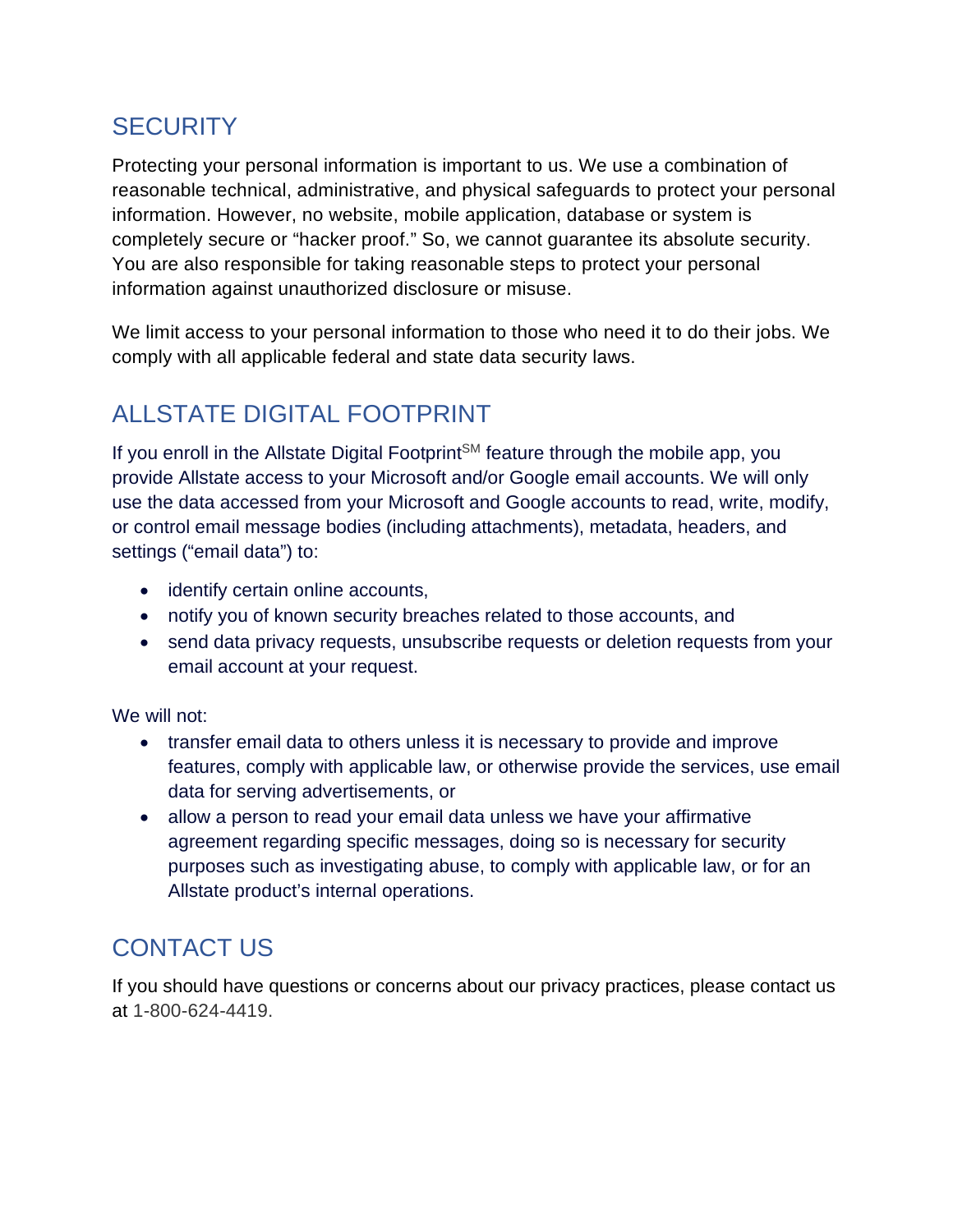## **SECURITY**

Protecting your personal information is important to us. We use a combination of reasonable technical, administrative, and physical safeguards to protect your personal information. However, no website, mobile application, database or system is completely secure or "hacker proof." So, we cannot guarantee its absolute security. You are also responsible for taking reasonable steps to protect your personal information against unauthorized disclosure or misuse.

We limit access to your personal information to those who need it to do their jobs. We comply with all applicable federal and state data security laws.

# ALLSTATE DIGITAL FOOTPRINT

If you enroll in the Allstate Digital Footprint<sup>SM</sup> feature through the mobile app, you provide Allstate access to your Microsoft and/or Google email accounts. We will only use the data accessed from your Microsoft and Google accounts to read, write, modify, or control email message bodies (including attachments), metadata, headers, and settings ("email data") to:

- identify certain online accounts,
- notify you of known security breaches related to those accounts, and
- send data privacy requests, unsubscribe requests or deletion requests from your email account at your request.

We will not:

- transfer email data to others unless it is necessary to provide and improve features, comply with applicable law, or otherwise provide the services, use email data for serving advertisements, or
- allow a person to read your email data unless we have your affirmative agreement regarding specific messages, doing so is necessary for security purposes such as investigating abuse, to comply with applicable law, or for an Allstate product's internal operations.

# CONTACT US

If you should have questions or concerns about our privacy practices, please contact us at 1-800-624-4419.